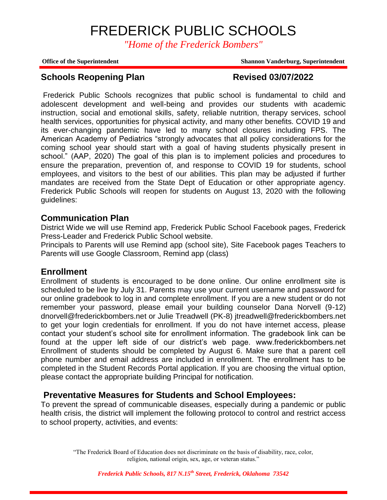*"Home of the Frederick Bombers"*

**Office of the Superintendent Shannon Vanderburg, Superintendent**

# **Schools Reopening Plan Revised 03/07/2022**

Frederick Public Schools recognizes that public school is fundamental to child and adolescent development and well-being and provides our students with academic instruction, social and emotional skills, safety, reliable nutrition, therapy services, school health services, opportunities for physical activity, and many other benefits. COVID 19 and its ever-changing pandemic have led to many school closures including FPS. The American Academy of Pediatrics "strongly advocates that all policy considerations for the coming school year should start with a goal of having students physically present in school." (AAP, 2020) The goal of this plan is to implement policies and procedures to ensure the preparation, prevention of, and response to COVID 19 for students, school employees, and visitors to the best of our abilities. This plan may be adjusted if further mandates are received from the State Dept of Education or other appropriate agency. Frederick Public Schools will reopen for students on August 13, 2020 with the following guidelines:

## **Communication Plan**

District Wide we will use Remind app, Frederick Public School Facebook pages, Frederick Press-Leader and Frederick Public School website.

Principals to Parents will use Remind app (school site), Site Facebook pages Teachers to Parents will use Google Classroom, Remind app (class)

## **Enrollment**

Enrollment of students is encouraged to be done online. Our online enrollment site is scheduled to be live by July 31. Parents may use your current username and password for our online gradebook to log in and complete enrollment. If you are a new student or do not remember your password, please email your building counselor Dana Norvell (9-12) dnorvell@frederickbombers.net or Julie Treadwell (PK-8) jtreadwell@frederickbombers.net to get your login credentials for enrollment. If you do not have internet access, please contact your student's school site for enrollment information. The gradebook link can be found at the upper left side of our district's web page. www.frederickbombers.net Enrollment of students should be completed by August 6. Make sure that a parent cell phone number and email address are included in enrollment. The enrollment has to be completed in the Student Records Portal application. If you are choosing the virtual option, please contact the appropriate building Principal for notification.

# **Preventative Measures for Students and School Employees:**

To prevent the spread of communicable diseases, especially during a pandemic or public health crisis, the district will implement the following protocol to control and restrict access to school property, activities, and events: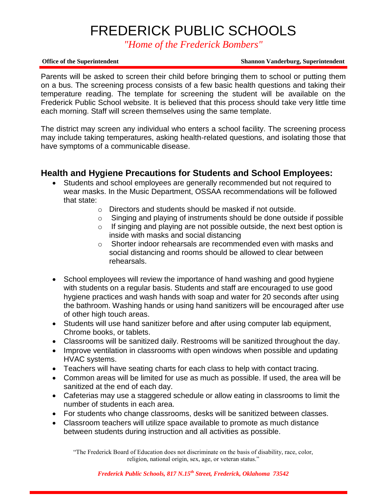*"Home of the Frederick Bombers"*

### **Office of the Superintendent Shannon Vanderburg, Superintendent**

Parents will be asked to screen their child before bringing them to school or putting them on a bus. The screening process consists of a few basic health questions and taking their temperature reading. The template for screening the student will be available on the Frederick Public School website. It is believed that this process should take very little time each morning. Staff will screen themselves using the same template.

The district may screen any individual who enters a school facility. The screening process may include taking temperatures, asking health-related questions, and isolating those that have symptoms of a communicable disease.

# **Health and Hygiene Precautions for Students and School Employees:**

- Students and school employees are generally recommended but not required to wear masks. In the Music Department, OSSAA recommendations will be followed that state:
	- o Directors and students should be masked if not outside.
	- o Singing and playing of instruments should be done outside if possible
	- $\circ$  If singing and playing are not possible outside, the next best option is inside with masks and social distancing
	- $\circ$  Shorter indoor rehearsals are recommended even with masks and social distancing and rooms should be allowed to clear between rehearsals.
- School employees will review the importance of hand washing and good hygiene with students on a regular basis. Students and staff are encouraged to use good hygiene practices and wash hands with soap and water for 20 seconds after using the bathroom. Washing hands or using hand sanitizers will be encouraged after use of other high touch areas.
- Students will use hand sanitizer before and after using computer lab equipment, Chrome books, or tablets.
- Classrooms will be sanitized daily. Restrooms will be sanitized throughout the day.
- Improve ventilation in classrooms with open windows when possible and updating HVAC systems.
- Teachers will have seating charts for each class to help with contact tracing.
- Common areas will be limited for use as much as possible. If used, the area will be sanitized at the end of each day.
- Cafeterias may use a staggered schedule or allow eating in classrooms to limit the number of students in each area.
- For students who change classrooms, desks will be sanitized between classes.
- Classroom teachers will utilize space available to promote as much distance between students during instruction and all activities as possible.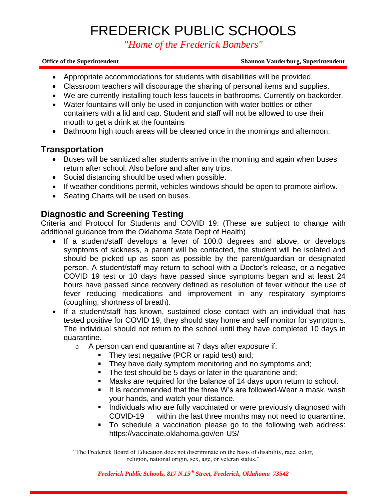*"Home of the Frederick Bombers"*

### **Office of the Superintendent Shannon Vanderburg, Superintendent**

- Appropriate accommodations for students with disabilities will be provided.
- Classroom teachers will discourage the sharing of personal items and supplies.
- We are currently installing touch less faucets in bathrooms. Currently on backorder.
- Water fountains will only be used in conjunction with water bottles or other containers with a lid and cap. Student and staff will not be allowed to use their mouth to get a drink at the fountains
- Bathroom high touch areas will be cleaned once in the mornings and afternoon.

## **Transportation**

- Buses will be sanitized after students arrive in the morning and again when buses return after school. Also before and after any trips.
- Social distancing should be used when possible.
- If weather conditions permit, vehicles windows should be open to promote airflow.
- Seating Charts will be used on buses.

# **Diagnostic and Screening Testing**

Criteria and Protocol for Students and COVID 19: (These are subject to change with additional guidance from the Oklahoma State Dept of Health)

- If a student/staff develops a fever of 100.0 degrees and above, or develops symptoms of sickness, a parent will be contacted, the student will be isolated and should be picked up as soon as possible by the parent/guardian or designated person. A student/staff may return to school with a Doctor's release, or a negative COVID 19 test or 10 days have passed since symptoms began and at least 24 hours have passed since recovery defined as resolution of fever without the use of fever reducing medications and improvement in any respiratory symptoms (coughing, shortness of breath).
- If a student/staff has known, sustained close contact with an individual that has tested positive for COVID 19, they should stay home and self monitor for symptoms. The individual should not return to the school until they have completed 10 days in quarantine.
	- o A person can end quarantine at 7 days after exposure if:
		- **They test negative (PCR or rapid test) and:**
		- **They have daily symptom monitoring and no symptoms and;**
		- The test should be 5 days or later in the quarantine and;
		- Masks are required for the balance of 14 days upon return to school.
		- It is recommended that the three W's are followed-Wear a mask, wash your hands, and watch your distance.
		- **Individuals who are fully vaccinated or were previously diagnosed with** COVID-19 within the last three months may not need to quarantine.
		- To schedule a vaccination please go to the following web address: https://vaccinate.oklahoma.gov/en-US/

"The Frederick Board of Education does not discriminate on the basis of disability, race, color, religion, national origin, sex, age, or veteran status."

*Frederick Public Schools, 817 N.15th Street, Frederick, Oklahoma 73542*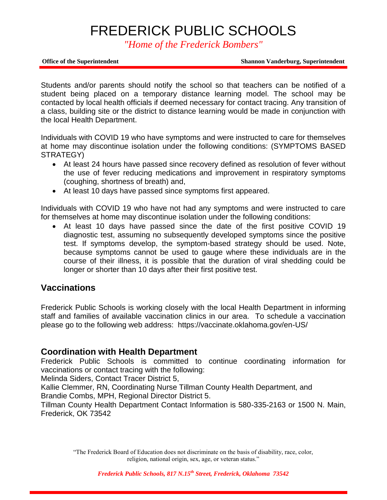*"Home of the Frederick Bombers"*

**Office of the Superintendent Shannon Vanderburg, Superintendent**

Students and/or parents should notify the school so that teachers can be notified of a student being placed on a temporary distance learning model. The school may be contacted by local health officials if deemed necessary for contact tracing. Any transition of a class, building site or the district to distance learning would be made in conjunction with the local Health Department.

Individuals with COVID 19 who have symptoms and were instructed to care for themselves at home may discontinue isolation under the following conditions: (SYMPTOMS BASED STRATEGY)

- At least 24 hours have passed since recovery defined as resolution of fever without the use of fever reducing medications and improvement in respiratory symptoms (coughing, shortness of breath) and,
- At least 10 days have passed since symptoms first appeared.

Individuals with COVID 19 who have not had any symptoms and were instructed to care for themselves at home may discontinue isolation under the following conditions:

 At least 10 days have passed since the date of the first positive COVID 19 diagnostic test, assuming no subsequently developed symptoms since the positive test. If symptoms develop, the symptom-based strategy should be used. Note, because symptoms cannot be used to gauge where these individuals are in the course of their illness, it is possible that the duration of viral shedding could be longer or shorter than 10 days after their first positive test.

# **Vaccinations**

Frederick Public Schools is working closely with the local Health Department in informing staff and families of available vaccination clinics in our area. To schedule a vaccination please go to the following web address: https://vaccinate.oklahoma.gov/en-US/

# **Coordination with Health Department**

Frederick Public Schools is committed to continue coordinating information for vaccinations or contact tracing with the following:

Melinda Siders, Contact Tracer District 5,

Kallie Clemmer, RN, Coordinating Nurse Tillman County Health Department, and Brandie Combs, MPH, Regional Director District 5.

Tillman County Health Department Contact Information is 580-335-2163 or 1500 N. Main, Frederick, OK 73542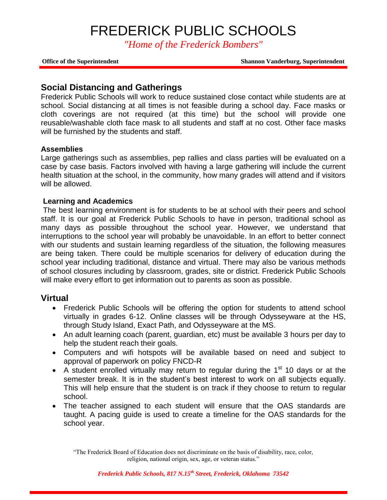*"Home of the Frederick Bombers"*

**Office of the Superintendent Shannon Vanderburg, Superintendent**

## **Social Distancing and Gatherings**

Frederick Public Schools will work to reduce sustained close contact while students are at school. Social distancing at all times is not feasible during a school day. Face masks or cloth coverings are not required (at this time) but the school will provide one reusable/washable cloth face mask to all students and staff at no cost. Other face masks will be furnished by the students and staff.

### **Assemblies**

Large gatherings such as assemblies, pep rallies and class parties will be evaluated on a case by case basis. Factors involved with having a large gathering will include the current health situation at the school, in the community, how many grades will attend and if visitors will be allowed.

### **Learning and Academics**

The best learning environment is for students to be at school with their peers and school staff. It is our goal at Frederick Public Schools to have in person, traditional school as many days as possible throughout the school year. However, we understand that interruptions to the school year will probably be unavoidable. In an effort to better connect with our students and sustain learning regardless of the situation, the following measures are being taken. There could be multiple scenarios for delivery of education during the school year including traditional, distance and virtual. There may also be various methods of school closures including by classroom, grades, site or district. Frederick Public Schools will make every effort to get information out to parents as soon as possible.

## **Virtual**

- Frederick Public Schools will be offering the option for students to attend school virtually in grades 6-12. Online classes will be through Odysseyware at the HS, through Study Island, Exact Path, and Odysseyware at the MS.
- An adult learning coach (parent, guardian, etc) must be available 3 hours per day to help the student reach their goals.
- Computers and wifi hotspots will be available based on need and subject to approval of paperwork on policy FNCD-R
- A student enrolled virtually may return to regular during the  $1<sup>st</sup> 10$  days or at the semester break. It is in the student's best interest to work on all subjects equally. This will help ensure that the student is on track if they choose to return to regular school.
- The teacher assigned to each student will ensure that the OAS standards are taught. A pacing guide is used to create a timeline for the OAS standards for the school year.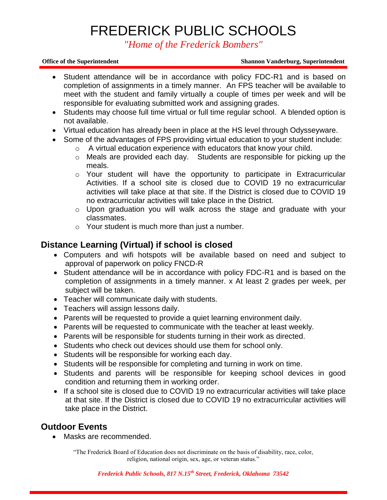*"Home of the Frederick Bombers"*

### **Office of the Superintendent Shannon Vanderburg, Superintendent**

- Student attendance will be in accordance with policy FDC-R1 and is based on completion of assignments in a timely manner. An FPS teacher will be available to meet with the student and family virtually a couple of times per week and will be responsible for evaluating submitted work and assigning grades.
- Students may choose full time virtual or full time regular school. A blended option is not available.
- Virtual education has already been in place at the HS level through Odysseyware.
- Some of the advantages of FPS providing virtual education to your student include:
	- o A virtual education experience with educators that know your child.
	- o Meals are provided each day. Students are responsible for picking up the meals.
	- o Your student will have the opportunity to participate in Extracurricular Activities. If a school site is closed due to COVID 19 no extracurricular activities will take place at that site. If the District is closed due to COVID 19 no extracurricular activities will take place in the District.
	- o Upon graduation you will walk across the stage and graduate with your classmates.
	- o Your student is much more than just a number.

# **Distance Learning (Virtual) if school is closed**

- Computers and wifi hotspots will be available based on need and subject to approval of paperwork on policy FNCD-R
- Student attendance will be in accordance with policy FDC-R1 and is based on the completion of assignments in a timely manner. x At least 2 grades per week, per subject will be taken.
- Teacher will communicate daily with students.
- Teachers will assign lessons daily.
- Parents will be requested to provide a quiet learning environment daily.
- Parents will be requested to communicate with the teacher at least weekly.
- Parents will be responsible for students turning in their work as directed.
- Students who check out devices should use them for school only.
- Students will be responsible for working each day.
- Students will be responsible for completing and turning in work on time.
- Students and parents will be responsible for keeping school devices in good condition and returning them in working order.
- If a school site is closed due to COVID 19 no extracurricular activities will take place at that site. If the District is closed due to COVID 19 no extracurricular activities will take place in the District.

# **Outdoor Events**

• Masks are recommended.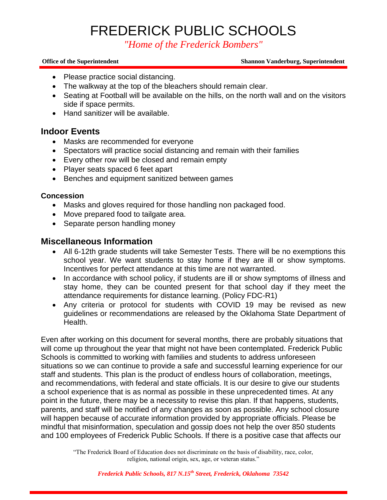*"Home of the Frederick Bombers"*

### **Office of the Superintendent Shannon Vanderburg, Superintendent**

- Please practice social distancing.
- The walkway at the top of the bleachers should remain clear.
- Seating at Football will be available on the hills, on the north wall and on the visitors side if space permits.
- Hand sanitizer will be available.

## **Indoor Events**

- Masks are recommended for everyone
- Spectators will practice social distancing and remain with their families
- Every other row will be closed and remain empty
- Player seats spaced 6 feet apart
- Benches and equipment sanitized between games

## **Concession**

- Masks and gloves required for those handling non packaged food.
- Move prepared food to tailgate area.
- Separate person handling money

## **Miscellaneous Information**

- All 6-12th grade students will take Semester Tests. There will be no exemptions this school year. We want students to stay home if they are ill or show symptoms. Incentives for perfect attendance at this time are not warranted.
- In accordance with school policy, if students are ill or show symptoms of illness and stay home, they can be counted present for that school day if they meet the attendance requirements for distance learning. (Policy FDC-R1)
- Any criteria or protocol for students with COVID 19 may be revised as new guidelines or recommendations are released by the Oklahoma State Department of Health.

Even after working on this document for several months, there are probably situations that will come up throughout the year that might not have been contemplated. Frederick Public Schools is committed to working with families and students to address unforeseen situations so we can continue to provide a safe and successful learning experience for our staff and students. This plan is the product of endless hours of collaboration, meetings, and recommendations, with federal and state officials. It is our desire to give our students a school experience that is as normal as possible in these unprecedented times. At any point in the future, there may be a necessity to revise this plan. If that happens, students, parents, and staff will be notified of any changes as soon as possible. Any school closure will happen because of accurate information provided by appropriate officials. Please be mindful that misinformation, speculation and gossip does not help the over 850 students and 100 employees of Frederick Public Schools. If there is a positive case that affects our